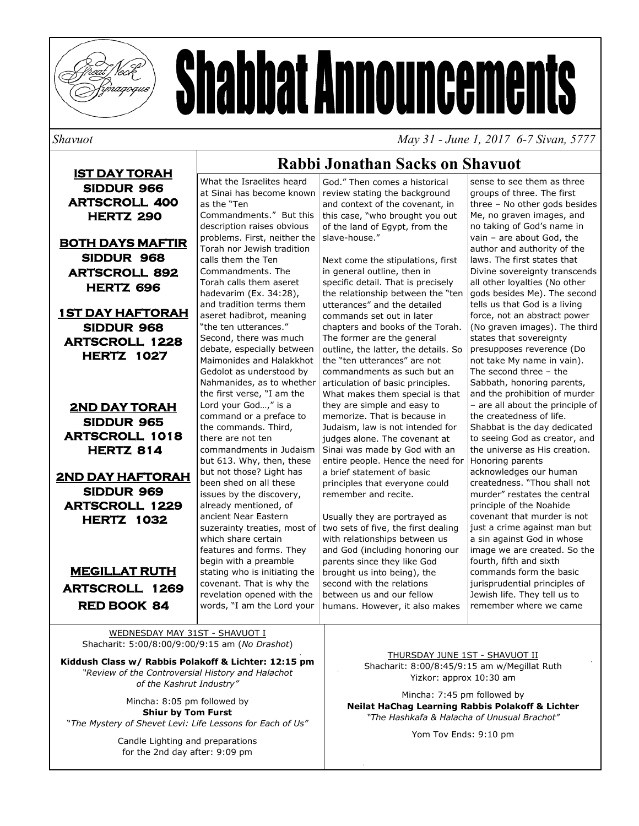

# **Shabbat Announcements**

*Shavuot May 31 - June 1, 2017 6-7 Sivan, 5777* 

**IST DAY TORAH SIDDUR 966 ARTSCROLL 400 HERTZ 290** 

**BOTH DAYS MAFTIR SIDDUR 968 ARTSCROLL 892 HERTZ 696** 

**1ST DAY HAFTORAH SIDDUR 968 ARTSCROLL 1228 HERTZ 1027** 

**2ND DAY TORAH SIDDUR 965 ARTSCROLL 1018 HERTZ 814** 

**2ND DAY HAFTORAH SIDDUR 969 ARTSCROLL 1229 HERTZ 1032** 

**MEGILLAT RUTH ARTSCROLL 1269 RED BOOK 84** 

# **Rabbi Jonathan Sacks on Shavuot**

What the Israelites heard at Sinai has become known as the "Ten Commandments." But this description raises obvious problems. First, neither the Torah nor Jewish tradition calls them the Ten Commandments. The Torah calls them aseret hadevarim (Ex. 34:28), and tradition terms them aseret hadibrot, meaning "the ten utterances." Second, there was much debate, especially between Maimonides and Halakkhot Gedolot as understood by Nahmanides, as to whether the first verse, "I am the Lord your God…," is a command or a preface to the commands. Third, there are not ten commandments in Judaism but 613. Why, then, these but not those? Light has been shed on all these issues by the discovery, already mentioned, of ancient Near Eastern suzerainty treaties, most of which share certain features and forms. They begin with a preamble stating who is initiating the covenant. That is why the revelation opened with the words, "I am the Lord your

God." Then comes a historical review stating the background and context of the covenant, in this case, "who brought you out of the land of Egypt, from the slave-house."

Next come the stipulations, first in general outline, then in specific detail. That is precisely the relationship between the "ten utterances" and the detailed commands set out in later chapters and books of the Torah. The former are the general outline, the latter, the details. So the "ten utterances" are not commandments as such but an articulation of basic principles. What makes them special is that they are simple and easy to memorize. That is because in Judaism, law is not intended for judges alone. The covenant at Sinai was made by God with an entire people. Hence the need for a brief statement of basic principles that everyone could remember and recite.

Usually they are portrayed as two sets of five, the first dealing with relationships between us and God (including honoring our parents since they like God brought us into being), the second with the relations between us and our fellow humans. However, it also makes

sense to see them as three groups of three. The first three – No other gods besides Me, no graven images, and no taking of God's name in vain – are about God, the author and authority of the laws. The first states that Divine sovereignty transcends all other loyalties (No other gods besides Me). The second tells us that God is a living force, not an abstract power (No graven images). The third states that sovereignty presupposes reverence (Do not take My name in vain). The second three – the Sabbath, honoring parents, and the prohibition of murder – are all about the principle of the createdness of life. Shabbat is the day dedicated to seeing God as creator, and the universe as His creation. Honoring parents acknowledges our human createdness. "Thou shall not murder" restates the central principle of the Noahide covenant that murder is not just a crime against man but a sin against God in whose image we are created. So the fourth, fifth and sixth commands form the basic jurisprudential principles of Jewish life. They tell us to remember where we came

WEDNESDAY MAY 31ST - SHAVUOT I Shacharit: 5:00/8:00/9:00/9:15 am (*No Drashot*)

**Kiddush Class w/ Rabbis Polakoff & Lichter: 12:15 pm**  *"Review of the Controversial History and Halachot of the Kashrut Industry"*

Mincha: 8:05 pm followed by **Shiur by Tom Furst**  "*The Mystery of Shevet Levi: Life Lessons for Each of Us"*

> Candle Lighting and preparations for the 2nd day after: 9:09 pm

THURSDAY JUNE 1ST - SHAVUOT II Shacharit: 8:00/8:45/9:15 am w/Megillat Ruth Yizkor: approx 10:30 am

Mincha: 7:45 pm followed by **Neilat HaChag Learning Rabbis Polakoff & Lichter**  *"The Hashkafa & Halacha of Unusual Brachot"*

Yom Tov Ends: 9:10 pm